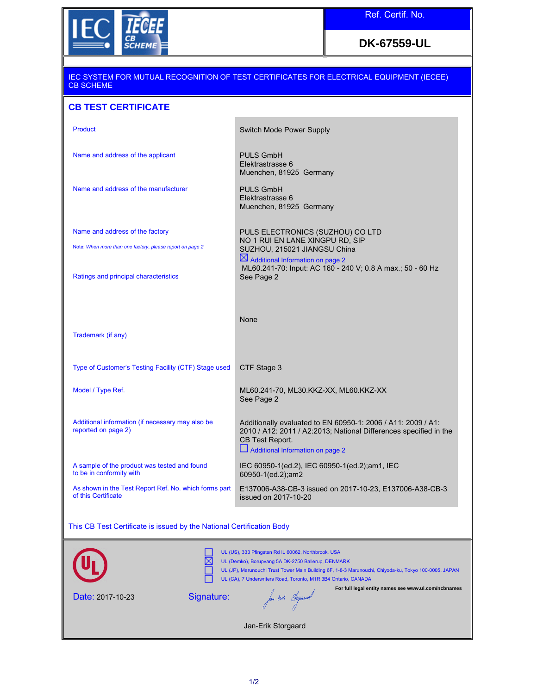

## **DK-67559-UL**

| IEC SYSTEM FOR MUTUAL RECOGNITION OF TEST CERTIFICATES FOR ELECTRICAL EQUIPMENT (IECEE)<br><b>CB SCHEME</b>                                                                                                                                                                          |                                                                                                                                                                                                                   |  |
|--------------------------------------------------------------------------------------------------------------------------------------------------------------------------------------------------------------------------------------------------------------------------------------|-------------------------------------------------------------------------------------------------------------------------------------------------------------------------------------------------------------------|--|
| <b>CB TEST CERTIFICATE</b>                                                                                                                                                                                                                                                           |                                                                                                                                                                                                                   |  |
| Product                                                                                                                                                                                                                                                                              | <b>Switch Mode Power Supply</b>                                                                                                                                                                                   |  |
| Name and address of the applicant                                                                                                                                                                                                                                                    | <b>PULS GmbH</b><br>Elektrastrasse 6<br>Muenchen, 81925 Germany                                                                                                                                                   |  |
| Name and address of the manufacturer                                                                                                                                                                                                                                                 | <b>PULS GmbH</b><br>Elektrastrasse 6<br>Muenchen, 81925 Germany                                                                                                                                                   |  |
| Name and address of the factory<br>Note: When more than one factory, please report on page 2                                                                                                                                                                                         | PULS ELECTRONICS (SUZHOU) CO LTD<br>NO 1 RUI EN LANE XINGPU RD, SIP<br>SUZHOU, 215021 JIANGSU China<br>$\boxtimes$ Additional Information on page 2<br>ML60.241-70: Input: AC 160 - 240 V; 0.8 A max.; 50 - 60 Hz |  |
| Ratings and principal characteristics                                                                                                                                                                                                                                                | See Page 2                                                                                                                                                                                                        |  |
| Trademark (if any)                                                                                                                                                                                                                                                                   | None                                                                                                                                                                                                              |  |
| Type of Customer's Testing Facility (CTF) Stage used                                                                                                                                                                                                                                 | CTF Stage 3                                                                                                                                                                                                       |  |
| Model / Type Ref.                                                                                                                                                                                                                                                                    | ML60.241-70, ML30.KKZ-XX, ML60.KKZ-XX<br>See Page 2                                                                                                                                                               |  |
| Additional information (if necessary may also be<br>reported on page 2)                                                                                                                                                                                                              | Additionally evaluated to EN 60950-1: 2006 / A11: 2009 / A1:<br>2010 / A12: 2011 / A2:2013; National Differences specified in the<br>CB Test Report.<br>Additional Information on page 2                          |  |
| A sample of the product was tested and found<br>to be in conformity with                                                                                                                                                                                                             | IEC 60950-1(ed.2), IEC 60950-1(ed.2);am1, IEC<br>60950-1(ed.2); am2                                                                                                                                               |  |
| As shown in the Test Report Ref. No. which forms part<br>of this Certificate                                                                                                                                                                                                         | E137006-A38-CB-3 issued on 2017-10-23, E137006-A38-CB-3<br>issued on 2017-10-20                                                                                                                                   |  |
| This CB Test Certificate is issued by the National Certification Body                                                                                                                                                                                                                |                                                                                                                                                                                                                   |  |
| UL (US), 333 Pfingsten Rd IL 60062, Northbrook, USA<br>UL (Demko), Borupvang 5A DK-2750 Ballerup, DENMARK<br>UL (JP), Marunouchi Trust Tower Main Building 6F, 1-8-3 Marunouchi, Chiyoda-ku, Tokyo 100-0005, JAPAN<br>UL (CA), 7 Underwriters Road, Toronto, M1R 3B4 Ontario, CANADA |                                                                                                                                                                                                                   |  |
| Signature:<br>Date: 2017-10-23                                                                                                                                                                                                                                                       | For full legal entity names see www.ul.com/ncbnames<br>fan oak Syrund                                                                                                                                             |  |
|                                                                                                                                                                                                                                                                                      | Jan-Erik Storgaard                                                                                                                                                                                                |  |